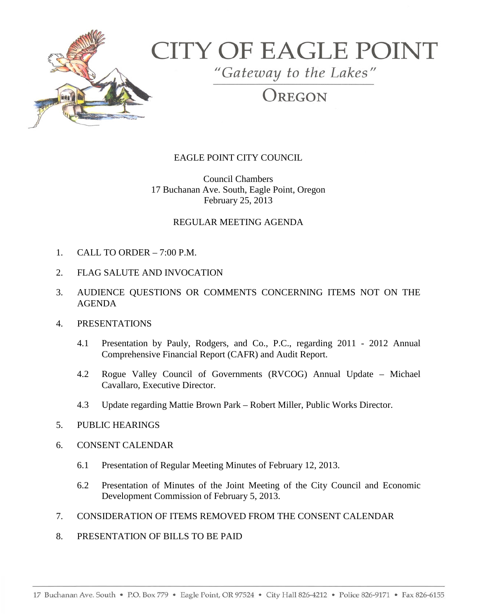

# **CITY OF EAGLE POINT**

"Gateway to the Lakes"

## OREGON

### EAGLE POINT CITY COUNCIL

Council Chambers 17 Buchanan Ave. South, Eagle Point, Oregon February 25, 2013

#### REGULAR MEETING AGENDA

- 1. CALL TO ORDER 7:00 P.M.
- 2. FLAG SALUTE AND INVOCATION
- 3. AUDIENCE QUESTIONS OR COMMENTS CONCERNING ITEMS NOT ON THE AGENDA
- 4. PRESENTATIONS
	- 4.1 Presentation by Pauly, Rodgers, and Co., P.C., regarding 2011 2012 Annual Comprehensive Financial Report (CAFR) and Audit Report.
	- 4.2 Rogue Valley Council of Governments (RVCOG) Annual Update Michael Cavallaro, Executive Director.
	- 4.3 Update regarding Mattie Brown Park Robert Miller, Public Works Director.
- 5. PUBLIC HEARINGS
- 6. CONSENT CALENDAR
	- 6.1 Presentation of Regular Meeting Minutes of February 12, 2013.
	- 6.2 Presentation of Minutes of the Joint Meeting of the City Council and Economic Development Commission of February 5, 2013.
- 7. CONSIDERATION OF ITEMS REMOVED FROM THE CONSENT CALENDAR
- 8. PRESENTATION OF BILLS TO BE PAID